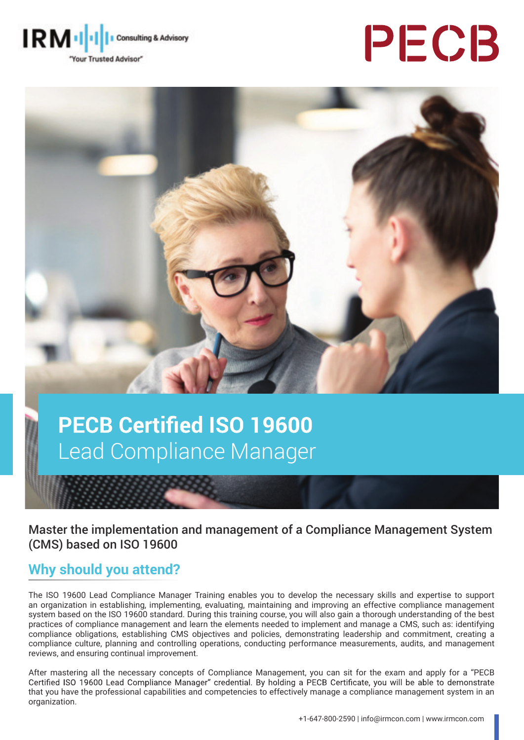

# PECB



## **PECB Certified ISO 19600** Lead Compliance Manager

Master the implementation and management of a Compliance Management System (CMS) based on ISO 19600

#### **Why should you attend?**

The ISO 19600 Lead Compliance Manager Training enables you to develop the necessary skills and expertise to support an organization in establishing, implementing, evaluating, maintaining and improving an effective compliance management system based on the ISO 19600 standard. During this training course, you will also gain a thorough understanding of the best practices of compliance management and learn the elements needed to implement and manage a CMS, such as: identifying compliance obligations, establishing CMS objectives and policies, demonstrating leadership and commitment, creating a compliance culture, planning and controlling operations, conducting performance measurements, audits, and management reviews, and ensuring continual improvement.

After mastering all the necessary concepts of Compliance Management, you can sit for the exam and apply for a "PECB<br>Certified ISO 19600 Lead Compliance Manager" credential. By holding a PECB Certificate, you will be able t that you have the professional capabilities and competencies to effectively manage a compliance management system in an organization.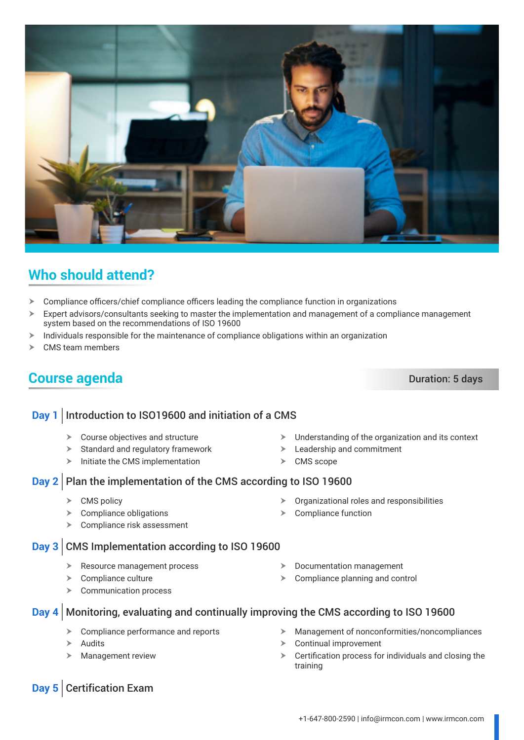$\blacktriangleright$  Understanding of the organization and its context

 $\blacktriangleright$  Leadership and commitment

 $\triangleright$  Documentation management  $\triangleright$  Compliance planning and control

#### **Day 2** Plan the implementation of the CMS according to ISO 19600

- $\triangleright$  CMS policy
- $\triangleright$  Compliance obligations
- $\blacktriangleright$  Compliance risk assessment

#### **Day 3** CMS Implementation according to ISO 19600

- $\triangleright$  Resource management process
- $\triangleright$  Compliance culture
- $\triangleright$  Communication process
- **Day 4** Monitoring, evaluating and continually improving the CMS according to ISO 19600
	- $\triangleright$  Compliance performance and reports
	- Audits
	- **Management review**
- $\blacktriangleright$  Management of nonconformities/noncompliances
- $\triangleright$  Continual improvement
- $\triangleright$  Certification process for individuals and closing the training

## **Who should attend?**

- $\triangleright$  Compliance officers/chief compliance officers leading the compliance function in organizations
- $\triangleright$  Expert advisors/consultants seeking to master the implementation and management of a compliance management system based on the recommendations of ISO 19600
- $\geq$  Individuals responsible for the maintenance of compliance obligations within an organization
- $\triangleright$  CMS team members

#### **Course agenda** Duration: 5 days

- 
- 
- $\triangleright$  Course objectives and structure  $\triangleright$  Standard and regulatory framework
- $\triangleright$  Initiate the CMS implementation

**Day 1** Introduction to ISO19600 and initiation of a CMS

- 
- 
- $\triangleright$  CMS scope
- $\triangleright$  Organizational roles and responsibilities  $\triangleright$  Compliance function

**Day 5** Certification Exam

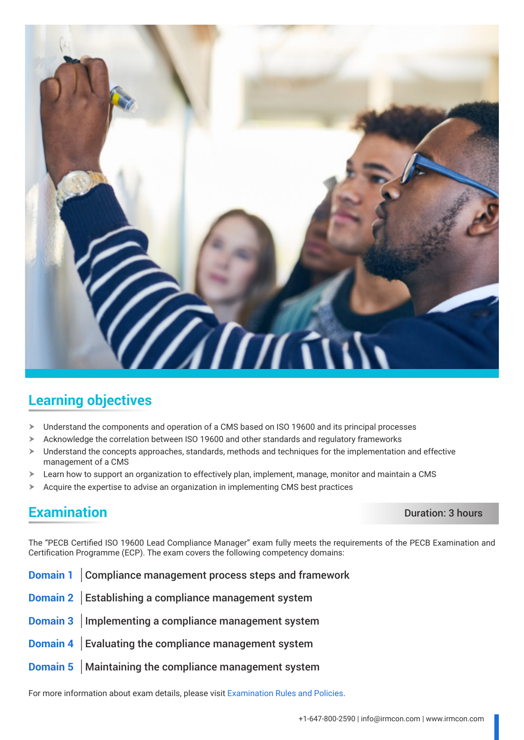

#### **Learning objectives**

- Understand the components and operation of a CMS based on ISO 19600 and its principal processes
- $\triangleright$  Acknowledge the correlation between ISO 19600 and other standards and regulatory frameworks
- $\triangleright$  Understand the concepts approaches, standards, methods and techniques for the implementation and effective management of a CMS
- $\triangleright$  Learn how to support an organization to effectively plan, implement, manage, monitor and maintain a CMS
- $\triangleright$  Acquire the expertise to advise an organization in implementing CMS best practices

#### **Examination** Duration: 3 hours

The "PECB Certified ISO 19600 Lead Compliance Manager" exam fully meets the requirements of the PECB Examination and Certification Programme (ECP). The exam covers the following competency domains:

- **Domain 1** Compliance management process steps and framework
- **Domain 2** Establishing a compliance management system
- **Domain 3** Implementing a compliance management system
- **Domain 4** Evaluating the compliance management system
- **Domain 5** Maintaining the compliance management system

For more information about exam details, please visit [Examination Rules and Policies](https://pecb.com/en/examination-rules-and-policies).